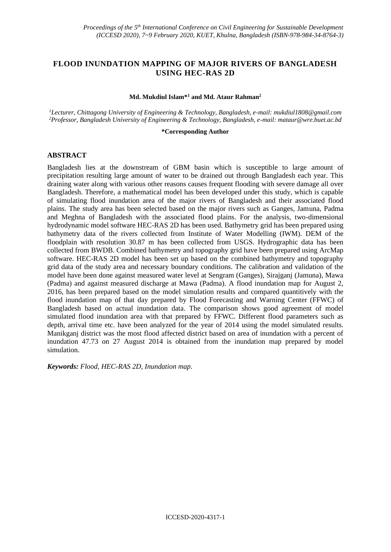# **FLOOD INUNDATION MAPPING OF MAJOR RIVERS OF BANGLADESH USING HEC-RAS 2D**

#### **Md. Mukdiul Islam\*<sup>1</sup> and Md. Ataur Rahman<sup>2</sup>**

*<sup>1</sup>Lecturer, Chittagong University of Engineering & Technology, Bangladesh, e-mail: mukdiul1808@gmail.com <sup>2</sup>Professor, Bangladesh University of Engineering & Technology, Bangladesh, e-mail[: mataur@wre.buet.ac.bd](mailto:mataur@wre.buet.ac.bd)*

#### **\*Corresponding Author**

### **ABSTRACT**

Bangladesh lies at the downstream of GBM basin which is susceptible to large amount of precipitation resulting large amount of water to be drained out through Bangladesh each year. This draining water along with various other reasons causes frequent flooding with severe damage all over Bangladesh. Therefore, a mathematical model has been developed under this study, which is capable of simulating flood inundation area of the major rivers of Bangladesh and their associated flood plains. The study area has been selected based on the major rivers such as Ganges, Jamuna, Padma and Meghna of Bangladesh with the associated flood plains. For the analysis, two-dimensional hydrodynamic model software HEC-RAS 2D has been used. Bathymetry grid has been prepared using bathymetry data of the rivers collected from Institute of Water Modelling (IWM). DEM of the floodplain with resolution 30.87 m has been collected from USGS. Hydrographic data has been collected from BWDB. Combined bathymetry and topography grid have been prepared using ArcMap software. HEC-RAS 2D model has been set up based on the combined bathymetry and topography grid data of the study area and necessary boundary conditions. The calibration and validation of the model have been done against measured water level at Sengram (Ganges), Sirajganj (Jamuna), Mawa (Padma) and against measured discharge at Mawa (Padma). A flood inundation map for August 2, 2016, has been prepared based on the model simulation results and compared quantitively with the flood inundation map of that day prepared by Flood Forecasting and Warning Center (FFWC) of Bangladesh based on actual inundation data. The comparison shows good agreement of model simulated flood inundation area with that prepared by FFWC. Different flood parameters such as depth, arrival time etc. have been analyzed for the year of 2014 using the model simulated results. Manikganj district was the most flood affected district based on area of inundation with a percent of inundation 47.73 on 27 August 2014 is obtained from the inundation map prepared by model simulation.

*Keywords: Flood, HEC-RAS 2D, Inundation map.*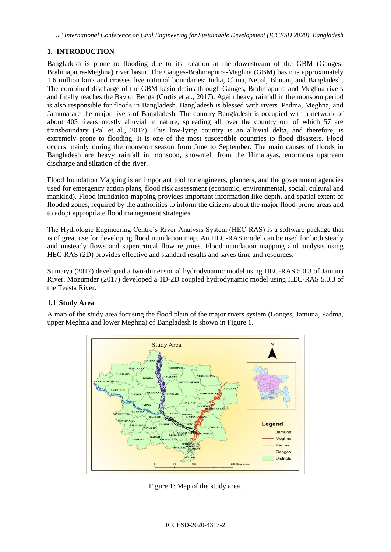*5 th International Conference on Civil Engineering for Sustainable Development (ICCESD 2020), Bangladesh*

# **1. INTRODUCTION**

Bangladesh is prone to flooding due to its location at the downstream of the GBM (Ganges-Brahmaputra-Meghna) river basin. The Ganges-Brahmaputra-Meghna (GBM) basin is approximately 1.6 million km2 and crosses five national boundaries: India, China, Nepal, Bhutan, and Bangladesh. The combined discharge of the GBM basin drains through Ganges, Brahmaputra and Meghna rivers and finally reaches the Bay of Benga (Curtis et al., 2017). Again heavy rainfall in the monsoon period is also responsible for floods in Bangladesh. Bangladesh is blessed with rivers. Padma, Meghna, and Jamuna are the major rivers of Bangladesh. The country Bangladesh is occupied with a network of about 405 rivers mostly alluvial in nature, spreading all over the country out of which 57 are transboundary (Pal et al., 2017). This low-lying country is an alluvial delta, and therefore, is extremely prone to flooding. It is one of the most susceptible countries to flood disasters. Flood occurs mainly during the monsoon season from June to September. The main causes of floods in Bangladesh are heavy rainfall in monsoon, snowmelt from the Himalayas, enormous upstream discharge and siltation of the river.

Flood Inundation Mapping is an important tool for engineers, planners, and the government agencies used for emergency action plans, flood risk assessment (economic, environmental, social, cultural and mankind). Flood inundation mapping provides important information like depth, and spatial extent of flooded zones, required by the authorities to inform the citizens about the major flood-prone areas and to adopt appropriate flood management strategies.

The Hydrologic Engineering Centre's River Analysis System (HEC-RAS) is a software package that is of great use for developing flood inundation map. An HEC-RAS model can be used for both steady and unsteady flows and supercritical flow regimes. Flood inundation mapping and analysis using HEC-RAS (2D) provides effective and standard results and saves time and resources.

Sumaiya (2017) developed a two-dimensional hydrodynamic model using HEC-RAS 5.0.3 of Jamuna River. Mozumder (2017) developed a 1D-2D coupled hydrodynamic model using HEC-RAS 5.0.3 of the Teesta River.

### **1.1 Study Area**

A map of the study area focusing the flood plain of the major rivers system (Ganges, Jamuna, Padma, upper Meghna and lower Meghna) of Bangladesh is shown in Figure 1.



Figure 1: Map of the study area.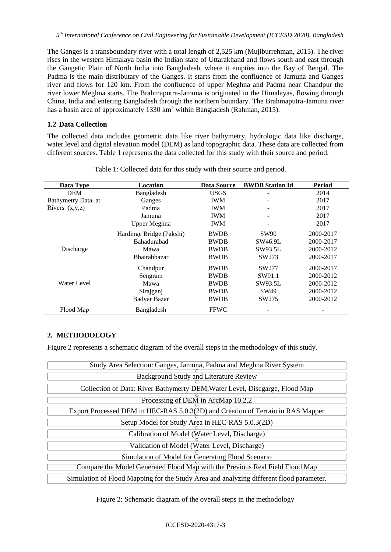The Ganges is a transboundary river with a total length of 2,525 km (Mujiburrehman, 2015). The river rises in the western Himalaya basin the Indian state of Uttarakhand and flows south and east through the Gangetic Plain of North India into Bangladesh, where it empties into the Bay of Bengal. The Padma is the main distributary of the Ganges. It starts from the confluence of Jamuna and Ganges river and flows for 120 km. From the confluence of upper Meghna and Padma near Chandpur the river lower Meghna starts. The Brahmaputra-Jamuna is originated in the Himalayas, flowing through China, India and entering Bangladesh through the northern boundary. The Brahmaputra-Jamuna river has a basin area of approximately 1330 km<sup>2</sup> within Bangladesh (Rahman, 2015).

## **1.2 Data Collection**

The collected data includes geometric data like river bathymetry, hydrologic data like discharge, water level and digital elevation model (DEM) as land topographic data. These data are collected from different sources. Table 1 represents the data collected for this study with their source and period.

| Data Type          | Location                 | Data Source | <b>BWDB</b> Station Id | <b>Period</b> |
|--------------------|--------------------------|-------------|------------------------|---------------|
| <b>DEM</b>         | Bangladesh               | <b>USGS</b> |                        | 2014          |
| Bathymetry Data at | Ganges                   | <b>IWM</b>  |                        | 2017          |
| Rivers $(x,y,z)$   | Padma                    | <b>IWM</b>  |                        | 2017          |
|                    | Jamuna                   | <b>IWM</b>  |                        | 2017          |
|                    | Upper Meghna             | <b>IWM</b>  | -                      | 2017          |
|                    | Hardinge Bridge (Pakshi) | <b>BWDB</b> | <b>SW90</b>            | 2000-2017     |
|                    | <b>Bahadurabad</b>       | <b>BWDB</b> | SW46.9L                | 2000-2017     |
| Discharge          | Mawa                     | <b>BWDB</b> | SW93.5L                | 2000-2012     |
|                    | Bhairabhazar             | <b>BWDB</b> | SW273                  | 2000-2017     |
|                    | Chandpur                 | <b>BWDB</b> | SW277                  | 2000-2017     |
|                    | Sengram                  | <b>BWDB</b> | SW91.1                 | 2000-2012     |
| Water Level        | Mawa                     | <b>BWDB</b> | SW93.5L                | 2000-2012     |
|                    | Sirajganj                | <b>BWDB</b> | SW49                   | 2000-2012     |
|                    | Badyar Bazar             | <b>BWDB</b> | SW275                  | 2000-2012     |
| Flood Map          | Bangladesh               | <b>FFWC</b> |                        |               |

Table 1: Collected data for this study with their source and period.

# **2. METHODOLOGY**

Figure 2 represents a schematic diagram of the overall steps in the methodology of this study.

| Study Area Selection: Ganges, Jamuna, Padma and Meghna River System                     |  |  |
|-----------------------------------------------------------------------------------------|--|--|
| Background Study and Literature Review                                                  |  |  |
|                                                                                         |  |  |
| Collection of Data: River Bathymerty DEM, Water Level, Discgarge, Flood Map             |  |  |
| Processing of DEM in ArcMap 10.2.2                                                      |  |  |
|                                                                                         |  |  |
| Export Processed DEM in HEC-RAS 5.0.3(2D) and Creation of Terrain in RAS Mapper         |  |  |
|                                                                                         |  |  |
| Setup Model for Study Area in HEC-RAS 5.0.3(2D)                                         |  |  |
|                                                                                         |  |  |
| Calibration of Model (Water Level, Discharge)                                           |  |  |
|                                                                                         |  |  |
| Validation of Model (Water Level, Discharge)                                            |  |  |
|                                                                                         |  |  |
| Simulation of Model for Generating Flood Scenario                                       |  |  |
| Compare the Model Generated Flood Map with the Previous Real Field Flood Map            |  |  |
|                                                                                         |  |  |
| Simulation of Flood Mapping for the Study Area and analyzing different flood parameter. |  |  |

Figure 2: Schematic diagram of the overall steps in the methodology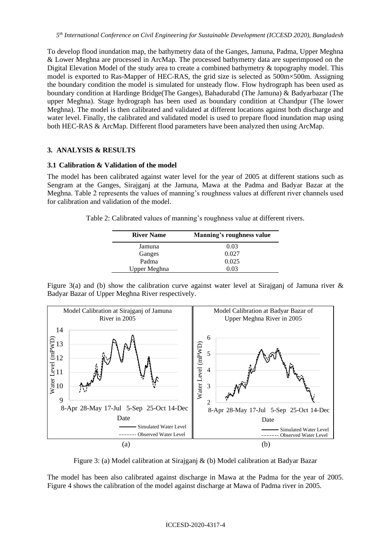To develop flood inundation map, the bathymetry data of the Ganges, Jamuna, Padma, Upper Meghna & Lower Meghna are processed in ArcMap. The processed bathymetry data are superimposed on the Digital Elevation Model of the study area to create a combined bathymetry & topography model. This model is exported to Ras-Mapper of HEC-RAS, the grid size is selected as 500m×500m. Assigning the boundary condition the model is simulated for unsteady flow. Flow hydrograph has been used as boundary condition at Hardinge Bridge(The Ganges), Bahadurabd (The Jamuna) & Badyarbazar (The upper Meghna). Stage hydrograph has been used as boundary condition at Chandpur (The lower Meghna). The model is then calibrated and validated at different locations against both discharge and water level. Finally, the calibrated and validated model is used to prepare flood inundation map using both HEC-RAS & ArcMap. Different flood parameters have been analyzed then using ArcMap.

### **3. ANALYSIS & RESULTS**

### **3.1 Calibration & Validation of the model**

The model has been calibrated against water level for the year of 2005 at different stations such as Sengram at the Ganges, Sirajganj at the Jamuna, Mawa at the Padma and Badyar Bazar at the Meghna. Table 2 represents the values of manning's roughness values at different river channels used for calibration and validation of the model.

Table 2: Calibrated values of manning's roughness value at different rivers.

| <b>River Name</b> | Manning's roughness value |
|-------------------|---------------------------|
| Jamuna            | 0.03                      |
| Ganges            | 0.027                     |
| Padma             | 0.025                     |
| Upper Meghna      | በ በ3                      |

Figure 3(a) and (b) show the calibration curve against water level at Sirajganj of Jamuna river & Badyar Bazar of Upper Meghna River respectively.



Figure 3: (a) Model calibration at Sirajganj & (b) Model calibration at Badyar Bazar

The model has been also calibrated against discharge in Mawa at the Padma for the year of 2005. Figure 4 shows the calibration of the model against discharge at Mawa of Padma river in 2005.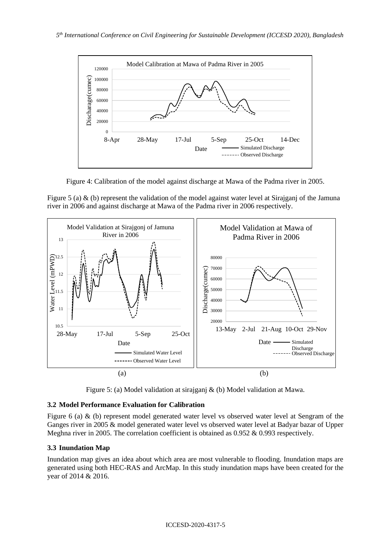

Figure 4: Calibration of the model against discharge at Mawa of the Padma river in 2005.

Figure 5 (a) & (b) represent the validation of the model against water level at Sirajganj of the Jamuna river in 2006 and against discharge at Mawa of the Padma river in 2006 respectively.



Figure 5: (a) Model validation at sirajganj & (b) Model validation at Mawa.

### **3.2 Model Performance Evaluation for Calibration**

Figure 6 (a) & (b) represent model generated water level vs observed water level at Sengram of the Ganges river in 2005 & model generated water level vs observed water level at Badyar bazar of Upper Meghna river in 2005. The correlation coefficient is obtained as 0.952 & 0.993 respectively.

### **3.3 Inundation Map**

Inundation map gives an idea about which area are most vulnerable to flooding. Inundation maps are generated using both HEC-RAS and ArcMap. In this study inundation maps have been created for the year of 2014 & 2016.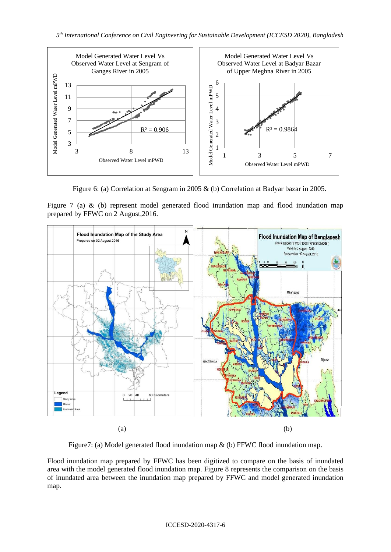

Figure 6: (a) Correlation at Sengram in 2005 & (b) Correlation at Badyar bazar in 2005.

Figure 7 (a) & (b) represent model generated flood inundation map and flood inundation map prepared by FFWC on 2 August,2016.



Figure7: (a) Model generated flood inundation map & (b) FFWC flood inundation map.

Flood inundation map prepared by FFWC has been digitized to compare on the basis of inundated area with the model generated flood inundation map. Figure 8 represents the comparison on the basis of inundated area between the inundation map prepared by FFWC and model generated inundation map.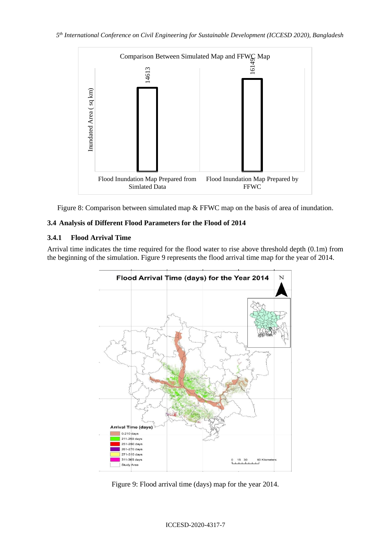

Figure 8: Comparison between simulated map & FFWC map on the basis of area of inundation.

### **3.4 Analysis of Different Flood Parameters for the Flood of 2014**

### **3.4.1 Flood Arrival Time**

Arrival time indicates the time required for the flood water to rise above threshold depth (0.1m) from the beginning of the simulation. Figure 9 represents the flood arrival time map for the year of 2014.

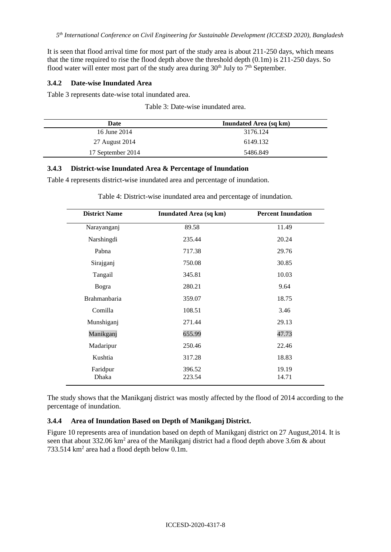It is seen that flood arrival time for most part of the study area is about 211-250 days, which means that the time required to rise the flood depth above the threshold depth (0.1m) is 211-250 days. So flood water will enter most part of the study area during  $30<sup>th</sup>$  July to  $7<sup>th</sup>$  September.

### **3.4.2 Date-wise Inundated Area**

Table 3 represents date-wise total inundated area.

|  | Table 3: Date-wise inundated area. |  |  |
|--|------------------------------------|--|--|
|--|------------------------------------|--|--|

| Date              | <b>Inundated Area (sq km)</b> |
|-------------------|-------------------------------|
| 16 June 2014      | 3176.124                      |
| 27 August 2014    | 6149.132                      |
| 17 September 2014 | 5486.849                      |

### **3.4.3 District-wise Inundated Area & Percentage of Inundation**

Table 4 represents district-wise inundated area and percentage of inundation.

| <b>District Name</b> | <b>Inundated Area (sq km)</b> | <b>Percent Inundation</b> |
|----------------------|-------------------------------|---------------------------|
| Narayanganj          | 89.58                         | 11.49                     |
| Narshingdi           | 235.44                        | 20.24                     |
| Pabna                | 717.38                        | 29.76                     |
| Sirajganj            | 750.08                        | 30.85                     |
| Tangail              | 345.81                        | 10.03                     |
| Bogra                | 280.21                        | 9.64                      |
| Brahmanbaria         | 359.07                        | 18.75                     |
| Comilla              | 108.51                        | 3.46                      |
| Munshiganj           | 271.44                        | 29.13                     |
| Manikganj            | 655.99                        | 47.73                     |
| Madaripur            | 250.46                        | 22.46                     |
| Kushtia              | 317.28                        | 18.83                     |
| Faridpur<br>Dhaka    | 396.52<br>223.54              | 19.19<br>14.71            |

Table 4: District-wise inundated area and percentage of inundation.

The study shows that the Manikganj district was mostly affected by the flood of 2014 according to the percentage of inundation.

### **3.4.4 Area of Inundation Based on Depth of Manikganj District.**

Figure 10 represents area of inundation based on depth of Manikganj district on 27 August,2014. It is seen that about 332.06  $km^2$  area of the Manikganj district had a flood depth above 3.6m & about 733.514  $km^2$  area had a flood depth below 0.1m.